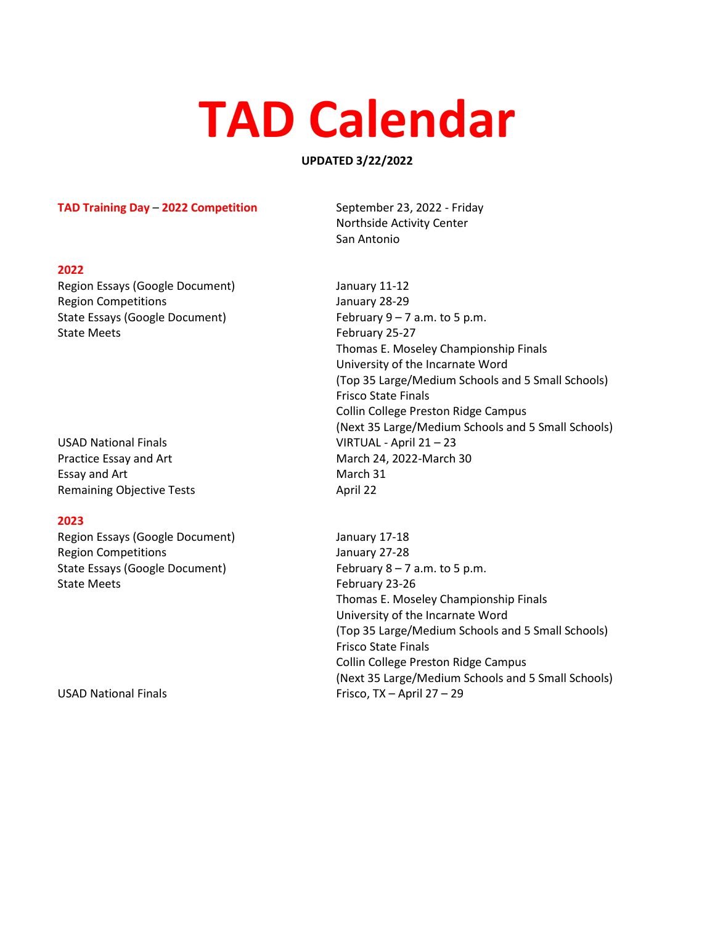# **TAD Calendar**

## **UPDATED 3/22/2022**

### **TAD Training Day – 2022 Competition** September 23, 2022 - Friday

### **2022**

Region Essays (Google Document) January 11-12 Region Competitions **Competitions** January 28-29 State Essays (Google Document) February 9 – 7 a.m. to 5 p.m. State Meets **February 25-27** 

USAD National Finals VIRTUAL - April 21 – 23 Practice Essay and Art March 24, 2022-March 30 Essay and Art March 31 Remaining Objective Tests **April 22** April 22

## **2023**

Region Essays (Google Document) January 17-18 Region Competitions **Computer** Computer Services and Manuary 27-28 State Essays (Google Document) February 8 – 7 a.m. to 5 p.m. State Meets **February 23-26** 

Northside Activity Center San Antonio

Thomas E. Moseley Championship Finals University of the Incarnate Word (Top 35 Large/Medium Schools and 5 Small Schools) Frisco State Finals Collin College Preston Ridge Campus (Next 35 Large/Medium Schools and 5 Small Schools)

Thomas E. Moseley Championship Finals University of the Incarnate Word (Top 35 Large/Medium Schools and 5 Small Schools) Frisco State Finals Collin College Preston Ridge Campus (Next 35 Large/Medium Schools and 5 Small Schools) USAD National Finals Frisco, TX – April 27 – 29